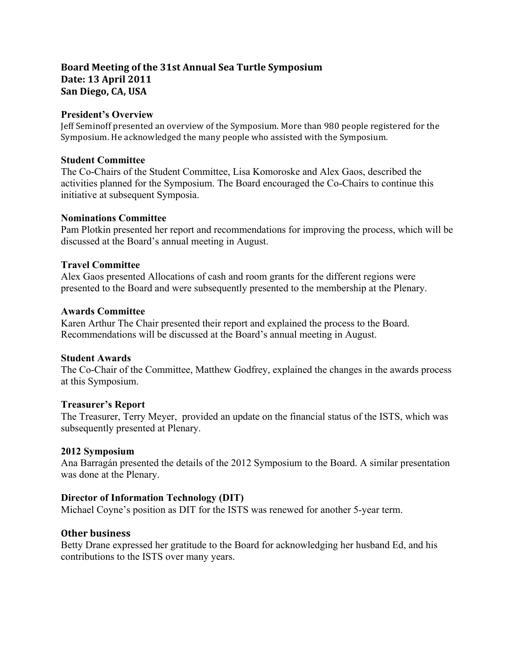# Board Meeting of the 31st Annual Sea Turtle Symposium **Date: 13 April 2011** San Diego, CA, USA

### **President's Overview**

Jeff Seminoff presented an overview of the Symposium. More than 980 people registered for the Symposium. He acknowledged the many people who assisted with the Symposium.

#### **Student Committee**

The Co-Chairs of the Student Committee, Lisa Komoroske and Alex Gaos, described the activities planned for the Symposium. The Board encouraged the Co-Chairs to continue this initiative at subsequent Symposia.

#### **Nominations Committee**

Pam Plotkin presented her report and recommendations for improving the process, which will be discussed at the Board's annual meeting in August.

### **Travel Committee**

Alex Gaos presented Allocations of cash and room grants for the different regions were presented to the Board and were subsequently presented to the membership at the Plenary.

#### **Awards Committee**

Karen Arthur The Chair presented their report and explained the process to the Board. Recommendations will be discussed at the Board's annual meeting in August.

## **Student Awards**

The Co-Chair of the Committee, Matthew Godfrey, explained the changes in the awards process at this Symposium.

#### **Treasurer's Report**

The Treasurer, Terry Meyer, provided an update on the financial status of the ISTS, which was subsequently presented at Plenary.

## **2012 Symposium**

Ana Barragán presented the details of the 2012 Symposium to the Board. A similar presentation was done at the Plenary.

## **Director of Information Technology (DIT)**

Michael Coyne's position as DIT for the ISTS was renewed for another 5-year term.

## **Other business**

Betty Drane expressed her gratitude to the Board for acknowledging her husband Ed, and his contributions to the ISTS over many years.